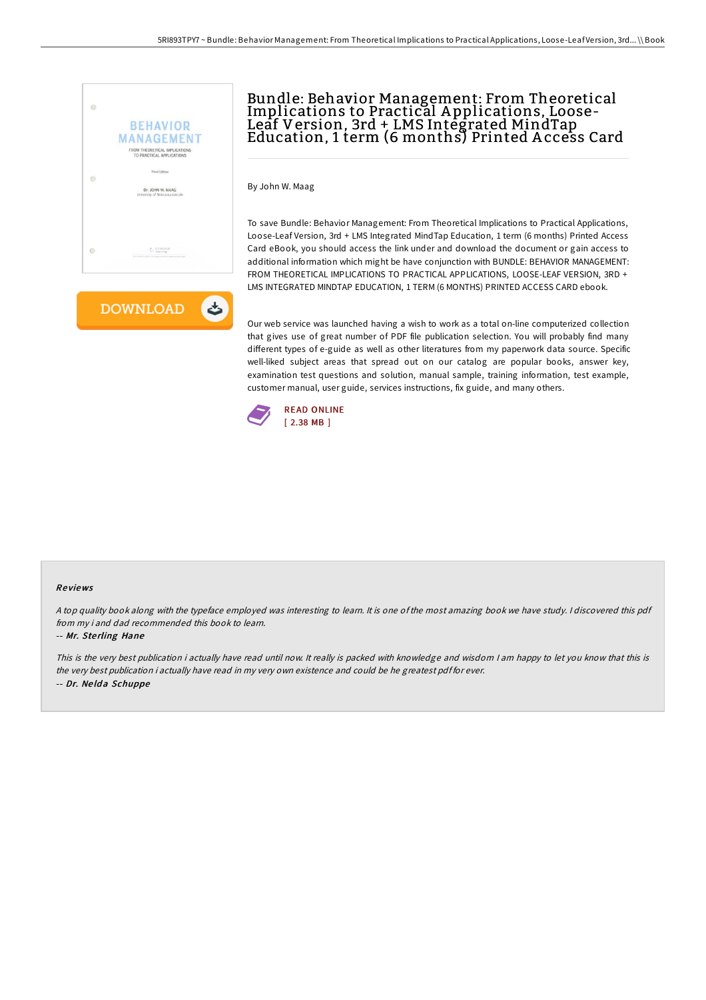



# Bundle: Behavior Management: From Theoretical Implications to Practical A pplications, Loose-Leaf Version, 3rd + LMS Integrated MindTap Education, 1 term (6 months) Printed A ccess Card

By John W. Maag

To save Bundle: Behavior Management: From Theoretical Implications to Practical Applications, Loose-Leaf Version, 3rd + LMS Integrated MindTap Education, 1 term (6 months) Printed Access Card eBook, you should access the link under and download the document or gain access to additional information which might be have conjunction with BUNDLE: BEHAVIOR MANAGEMENT: FROM THEORETICAL IMPLICATIONS TO PRACTICAL APPLICATIONS, LOOSE-LEAF VERSION, 3RD + LMS INTEGRATED MINDTAP EDUCATION, 1 TERM (6 MONTHS) PRINTED ACCESS CARD ebook.

Our web service was launched having a wish to work as a total on-line computerized collection that gives use of great number of PDF file publication selection. You will probably find many different types of e-guide as well as other literatures from my paperwork data source. Specific well-liked subject areas that spread out on our catalog are popular books, answer key, examination test questions and solution, manual sample, training information, test example, customer manual, user guide, services instructions, fix guide, and many others.



#### Re views

<sup>A</sup> top quality book along with the typeface employed was interesting to learn. It is one of the most amazing book we have study. <sup>I</sup> discovered this pdf from my i and dad recommended this book to learn.

#### -- Mr. Ste rling Hane

This is the very best publication i actually have read until now. It really is packed with knowledge and wisdom I am happy to let you know that this is the very best publication i actually have read in my very own existence and could be he greatest pdf for ever. -- Dr. Ne ld <sup>a</sup> Schuppe